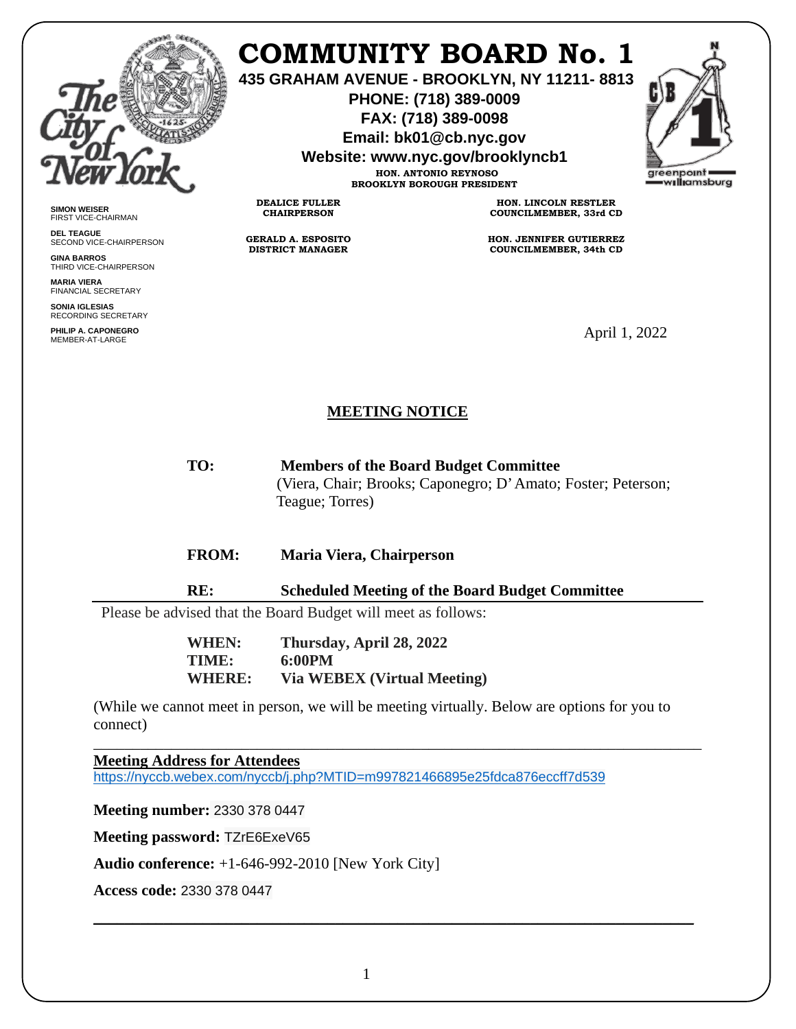

**SIMON WEISER** FIRST VICE-CHAIRMAN **DEL TEAGUE**

**GINA BARROS** THIRD VICE-CHAIRPERSON

**MARIA VIERA** FINANCIAL SECRETARY **SONIA IGLESIAS** RECORDING SECRETARY **PHILIP A. CAPONEGRO**

SECOND VICE-CHAIRPERSON

## **COMMUNITY BOARD No. 1**

**435 GRAHAM AVENUE - BROOKLYN, NY 11211- 8813**

**PHONE: (718) 389-0009 FAX: (718) 389-0098**

**Email: bk01@cb.nyc.gov**

**Website: www.nyc.gov/brooklyncb1**

**HON. ANTONIO REYNOSO BROOKLYN BOROUGH PRESIDENT** greenpoint williamsburg

**GERALD A. ESPOSITO DISTRICT MANAGER**

**DEALICE FULLER CHAIRPERSON**

**HON. LINCOLN RESTLER COUNCILMEMBER, 33rd CD**

**HON. JENNIFER GUTIERREZ COUNCILMEMBER, 34th CD**

MEMBER-AT-LARGE April 1, 2022

## **MEETING NOTICE**

**TO: Members of the Board Budget Committee** (Viera, Chair; Brooks; Caponegro; D' Amato; Foster; Peterson; Teague; Torres)

## **FROM: Maria Viera, Chairperson**

**RE: Scheduled Meeting of the Board Budget Committee**

Please be advised that the Board Budget will meet as follows:

**WHEN: Thursday, April 28, 2022 TIME: 6:00PM WHERE: Via WEBEX (Virtual Meeting)**

(While we cannot meet in person, we will be meeting virtually. Below are options for you to connect)

\_\_\_\_\_\_\_\_\_\_\_\_\_\_\_\_\_\_\_\_\_\_\_\_\_\_\_\_\_\_\_\_\_\_\_\_\_\_\_\_\_\_\_\_\_\_\_\_\_\_\_\_\_\_\_\_\_\_\_\_\_\_\_\_\_\_\_\_\_\_\_\_\_\_\_\_\_\_

**Meeting Address for Attendees** 

<https://nyccb.webex.com/nyccb/j.php?MTID=m997821466895e25fdca876eccff7d539>

**Meeting number:** 2330 378 0447

**Meeting password:** TZrE6ExeV65

**Audio conference:** +1-646-992-2010 [New York City]

**Access code:** 2330 378 0447

\_\_\_\_\_\_\_\_\_\_\_\_\_\_\_\_\_\_\_\_\_\_\_\_\_\_\_\_\_\_\_\_\_\_\_\_\_\_\_\_\_\_\_\_\_\_\_\_\_\_\_\_\_\_\_\_\_\_\_\_\_\_\_\_\_\_\_\_\_\_\_\_\_\_\_\_\_